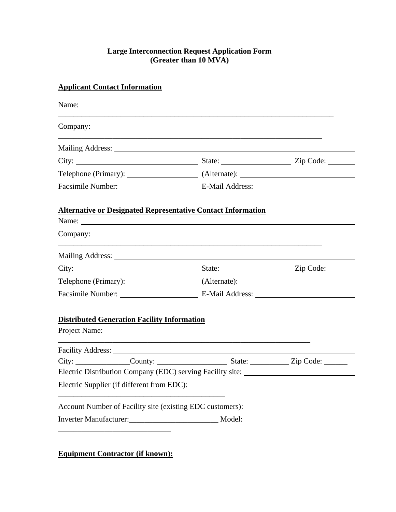### **Large Interconnection Request Application Form (Greater than 10 MVA)**

# **Applicant Contact Information**

| Name:                                                               |                                                                                                                                                                                                                                     |  |
|---------------------------------------------------------------------|-------------------------------------------------------------------------------------------------------------------------------------------------------------------------------------------------------------------------------------|--|
| Company:                                                            |                                                                                                                                                                                                                                     |  |
|                                                                     |                                                                                                                                                                                                                                     |  |
|                                                                     | City: <u>City:</u> City: City: City: City: City: City: City: City: City: City: City: City: City: City: City: City: City: City: City: City: City: City: City: City: City: City: City: City: City: City: City: City: City: City: City |  |
|                                                                     |                                                                                                                                                                                                                                     |  |
|                                                                     |                                                                                                                                                                                                                                     |  |
| <b>Alternative or Designated Representative Contact Information</b> |                                                                                                                                                                                                                                     |  |
| Company:                                                            |                                                                                                                                                                                                                                     |  |
|                                                                     |                                                                                                                                                                                                                                     |  |
|                                                                     |                                                                                                                                                                                                                                     |  |
|                                                                     |                                                                                                                                                                                                                                     |  |
|                                                                     |                                                                                                                                                                                                                                     |  |
| <b>Distributed Generation Facility Information</b><br>Project Name: |                                                                                                                                                                                                                                     |  |
|                                                                     |                                                                                                                                                                                                                                     |  |
|                                                                     |                                                                                                                                                                                                                                     |  |
|                                                                     | Electric Distribution Company (EDC) serving Facility site: ______________________                                                                                                                                                   |  |
| Electric Supplier (if different from EDC):                          |                                                                                                                                                                                                                                     |  |
|                                                                     | Account Number of Facility site (existing EDC customers): ______________________                                                                                                                                                    |  |

**Equipment Contractor (if known):**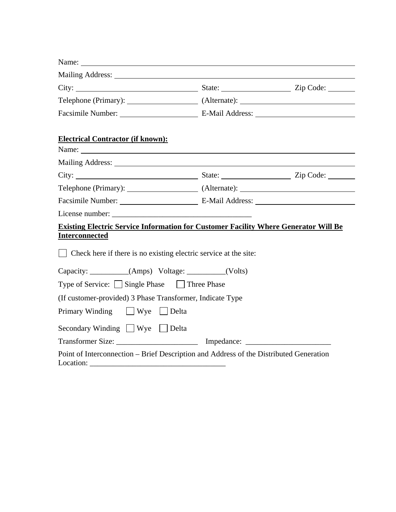| <b>Electrical Contractor (if known):</b>                                                                                                                                                                                       |  |  |
|--------------------------------------------------------------------------------------------------------------------------------------------------------------------------------------------------------------------------------|--|--|
| Mailing Address: No. 1996. The Second Second Second Second Second Second Second Second Second Second Second Second Second Second Second Second Second Second Second Second Second Second Second Second Second Second Second Se |  |  |
|                                                                                                                                                                                                                                |  |  |
|                                                                                                                                                                                                                                |  |  |
|                                                                                                                                                                                                                                |  |  |
|                                                                                                                                                                                                                                |  |  |
| <b>Existing Electric Service Information for Customer Facility Where Generator Will Be</b><br><b>Interconnected</b>                                                                                                            |  |  |
| $\Box$ Check here if there is no existing electric service at the site:                                                                                                                                                        |  |  |
| Capacity: __________(Amps) Voltage: ________(Volts)                                                                                                                                                                            |  |  |
| Type of Service: Single Phase □ Three Phase                                                                                                                                                                                    |  |  |
| (If customer-provided) 3 Phase Transformer, Indicate Type                                                                                                                                                                      |  |  |
| Primary Winding Wye Delta                                                                                                                                                                                                      |  |  |
| Secondary Winding Wye Delta                                                                                                                                                                                                    |  |  |
| Transformer Size: _________________________ Impedance: _________________________                                                                                                                                               |  |  |
| Point of Interconnection - Brief Description and Address of the Distributed Generation                                                                                                                                         |  |  |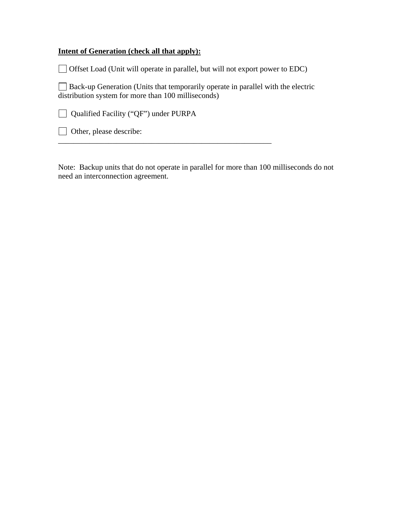### **Intent of Generation (check all that apply):**

Offset Load (Unit will operate in parallel, but will not export power to EDC)

 $\Box$  Back-up Generation (Units that temporarily operate in parallel with the electric distribution system for more than 100 milliseconds)

\_\_\_\_\_\_\_\_\_\_\_\_\_\_\_\_\_\_\_\_\_\_\_\_\_\_\_\_\_\_\_\_\_\_\_\_\_\_\_\_\_\_\_\_\_\_\_\_\_\_\_\_\_\_\_

Qualified Facility ("QF") under PURPA

Other, please describe:

Note: Backup units that do not operate in parallel for more than 100 milliseconds do not need an interconnection agreement.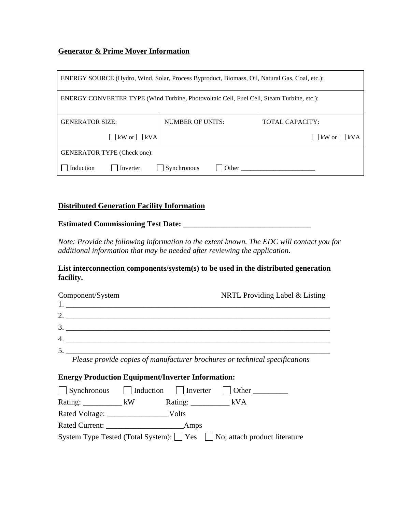#### **Generator & Prime Mover Information**

| ENERGY SOURCE (Hydro, Wind, Solar, Process Byproduct, Biomass, Oil, Natural Gas, Coal, etc.): |                      |                        |
|-----------------------------------------------------------------------------------------------|----------------------|------------------------|
| ENERGY CONVERTER TYPE (Wind Turbine, Photovoltaic Cell, Fuel Cell, Steam Turbine, etc.):      |                      |                        |
| <b>GENERATOR SIZE:</b>                                                                        | NUMBER OF UNITS:     | <b>TOTAL CAPACITY:</b> |
| kW or $\Box$ kVA                                                                              |                      | $ $ kW or $ $ kVA      |
| <b>GENERATOR TYPE (Check one):</b>                                                            |                      |                        |
| Induction<br>Inverter                                                                         | Synchronous<br>Other |                        |

#### **Distributed Generation Facility Information**

**Estimated Commissioning Test Date: \_\_\_\_\_\_\_\_\_\_\_\_\_\_\_\_\_\_\_\_\_\_\_\_\_\_\_\_\_\_\_\_\_** 

*Note: Provide the following information to the extent known. The EDC will contact you for additional information that may be needed after reviewing the application*.

**List interconnection components/system(s) to be used in the distributed generation facility.** 

| Component/System   | NRTL Providing Label & Listing                                              |
|--------------------|-----------------------------------------------------------------------------|
|                    |                                                                             |
| 2. $\qquad \qquad$ |                                                                             |
|                    |                                                                             |
| 4. $\qquad \qquad$ |                                                                             |
|                    |                                                                             |
|                    | Please provide copies of manufacturer brochures or technical specifications |

#### **Energy Production Equipment/Inverter Information:**

|                        |             | $\Box$ Synchronous $\Box$ Induction $\Box$ Inverter $\Box$ Other     |
|------------------------|-------------|----------------------------------------------------------------------|
| $Rating:$ $\_\_\_\_kW$ | Rating: kVA |                                                                      |
| Rated Voltage:         | – Volts     |                                                                      |
|                        | Amps        |                                                                      |
|                        |             | System Type Tested (Total System): Yes No; attach product literature |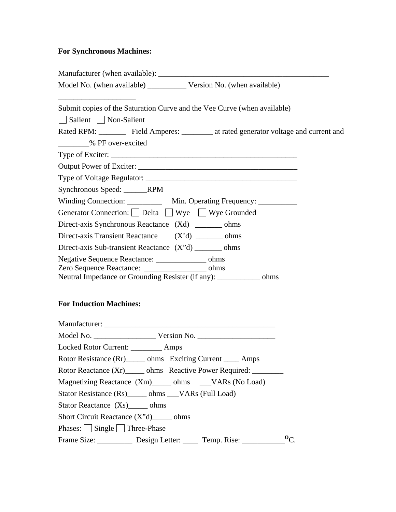# **For Synchronous Machines:**

| Submit copies of the Saturation Curve and the Vee Curve (when available)<br>Salient   Non-Salient                                                                             |
|-------------------------------------------------------------------------------------------------------------------------------------------------------------------------------|
| Rated RPM: Field Amperes: 1.1 at rated generator voltage and current and<br>________% PF over-excited                                                                         |
|                                                                                                                                                                               |
|                                                                                                                                                                               |
|                                                                                                                                                                               |
| Synchronous Speed: ______RPM                                                                                                                                                  |
| Winding Connection: ____________ Min. Operating Frequency: ___________                                                                                                        |
| Generator Connection: Delta Wye Wye Grounded                                                                                                                                  |
| Direct-axis Synchronous Reactance (Xd) ________ ohms                                                                                                                          |
| Direct-axis Transient Reactance (X'd) ________ ohms                                                                                                                           |
| Direct-axis Sub-transient Reactance (X"d) ________ ohms                                                                                                                       |
| Negative Sequence Reactance: ________________ ohms<br>Zero Sequence Reactance: ___________________ ohms<br>Neutral Impedance or Grounding Resister (if any): ___________ ohms |
| <b>For Induction Machines:</b>                                                                                                                                                |
|                                                                                                                                                                               |
|                                                                                                                                                                               |
| Locked Rotor Current: _________ Amps                                                                                                                                          |
| Rotor Resistance (Rr) ______ ohms  Exciting Current _____ Amps                                                                                                                |
| Rotor Reactance (Xr) ______ ohms Reactive Power Required: _________                                                                                                           |
| Magnetizing Reactance (Xm) _____ ohms ____VARs (No Load)                                                                                                                      |
| Stator Resistance (Rs) ______ ohms ___VARs (Full Load)                                                                                                                        |
| Stator Reactance (Xs) ______ ohms                                                                                                                                             |
| Short Circuit Reactance (X"d) ______ ohms                                                                                                                                     |

Phases:  $\Box$  Single  $\Box$  Three-Phase

Frame Size: \_\_\_\_\_\_\_\_\_\_\_ Design Letter: \_\_\_\_\_ Temp. Rise: \_\_\_\_\_\_\_\_\_\_<sup>o</sup>C.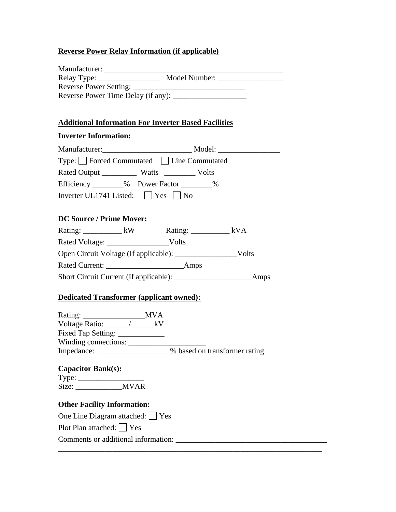## **Reverse Power Relay Information (if applicable)**

| Manufacturer:                      |               |
|------------------------------------|---------------|
| $Relay Type: \_\_$                 | Model Number: |
| Reverse Power Setting:             |               |
| Reverse Power Time Delay (if any): |               |

# **Additional Information For Inverter Based Facilities**

### **Inverter Information:**

| Type: □ Forced Commutated □ Line Commutated        |  |  |
|----------------------------------------------------|--|--|
|                                                    |  |  |
| Efficiency _________% Power Factor ________%       |  |  |
| Inverter UL1741 Listed: $\bigcup$ Yes $\bigcup$ No |  |  |
|                                                    |  |  |
| <b>DC Source / Prime Mover:</b>                    |  |  |
| Rating: _____________ kW Rating: ____________ kVA  |  |  |
|                                                    |  |  |
|                                                    |  |  |
|                                                    |  |  |
|                                                    |  |  |
| <b>Dedicated Transformer (applicant owned):</b>    |  |  |
|                                                    |  |  |

| Rating.              | IVI V A |                               |
|----------------------|---------|-------------------------------|
| Voltage Ratio: _____ |         |                               |
| Fixed Tap Setting:   |         |                               |
| Winding connections: |         |                               |
| Impedance:           |         | % based on transformer rating |

## **Capacitor Bank(s):**  Type:  $\frac{1}{\sqrt{1-\frac{1}{2}}\sqrt{1-\frac{1}{2}}\sqrt{1-\frac{1}{2}}\sqrt{1-\frac{1}{2}}\sqrt{1-\frac{1}{2}}\sqrt{1-\frac{1}{2}}\sqrt{1-\frac{1}{2}}\sqrt{1-\frac{1}{2}}\sqrt{1-\frac{1}{2}}\sqrt{1-\frac{1}{2}}\sqrt{1-\frac{1}{2}}\sqrt{1-\frac{1}{2}}\sqrt{1-\frac{1}{2}}\sqrt{1-\frac{1}{2}}\sqrt{1-\frac{1}{2}}\sqrt{1-\frac{1}{2}}\sqrt{1-\frac{1}{2}}\sqrt{1-\frac{1}{2}}\sqrt{1-\frac{1}{2}}$ Size: \_\_\_\_\_\_\_\_\_\_\_\_MVAR

# **Other Facility Information:**

| One Line Diagram attached: $\Box$ Yes |
|---------------------------------------|
| Plot Plan attached: $\Box$ Yes        |
| Comments or additional information:   |
|                                       |